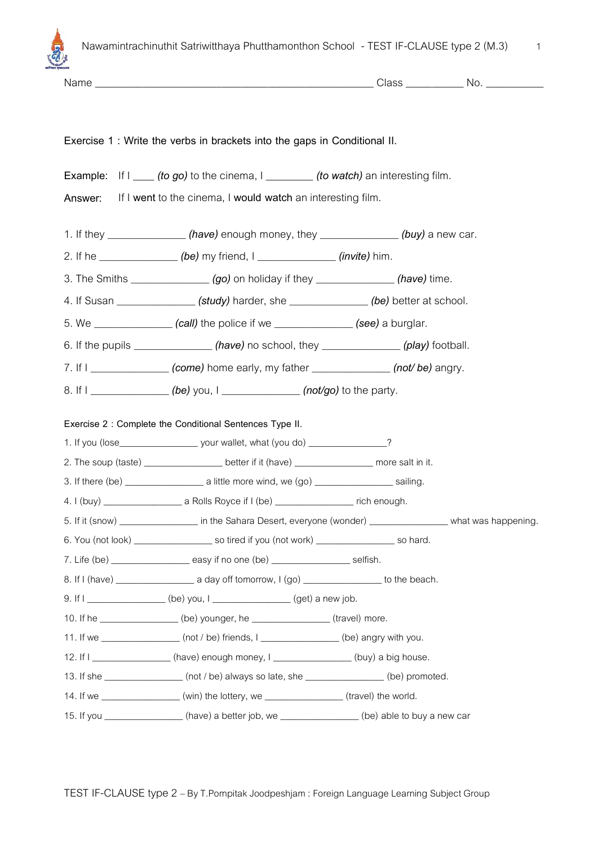

| Exercise 1 : Write the verbs in brackets into the gaps in Conditional II.                                        |  |  |
|------------------------------------------------------------------------------------------------------------------|--|--|
|                                                                                                                  |  |  |
| Example: If $I$ (to go) to the cinema, $I$ (to watch) an interesting film.                                       |  |  |
| Answer: If I went to the cinema, I would watch an interesting film.                                              |  |  |
| 1. If they _______________(have) enough money, they ____________(buy) a new car.                                 |  |  |
| 2. If he _______________(be) my friend, I ______________(invite) him.                                            |  |  |
|                                                                                                                  |  |  |
| 4. If Susan ________________(study) harder, she ______________(be) better at school.                             |  |  |
| 5. We $\_\_\_\_\_\_\_\_\_\_\_\_$ (call) the police if we $\_\_\_\_\_\_\_\_\_\_\_$ (see) a burglar.               |  |  |
| 6. If the pupils $\frac{m}{m}$ (have) no school, they $\frac{m}{m}$ (play) football.                             |  |  |
| 7. If I _______________ (come) home early, my father _______________ (not/be) angry.                             |  |  |
| 8. If I ________________(be) you, I ______________(not/go) to the party.                                         |  |  |
|                                                                                                                  |  |  |
| Exercise 2 : Complete the Conditional Sentences Type II.                                                         |  |  |
| 2. The soup (taste) ___________________better if it (have) ___________________ more salt in it.                  |  |  |
|                                                                                                                  |  |  |
|                                                                                                                  |  |  |
| 5. If it (snow) __________________ in the Sahara Desert, everyone (wonder) _________________ what was happening. |  |  |
|                                                                                                                  |  |  |
|                                                                                                                  |  |  |
|                                                                                                                  |  |  |
| 9. If I _______________(be) you, I ____________(get) a new job.                                                  |  |  |
| 10. If he _________________(be) younger, he _______________(travel) more.                                        |  |  |
| 11. If we __________________ (not / be) friends, I _________________ (be) angry with you.                        |  |  |
| 12. If I ________________(have) enough money, I _____________(buy) a big house.                                  |  |  |
| 13. If she __________________(not / be) always so late, she _______________(be) promoted.                        |  |  |
| 14. If we _________________(win) the lottery, we ______________(travel) the world.                               |  |  |
| 15. If you ________________(have) a better job, we ______________(be) able to buy a new car                      |  |  |